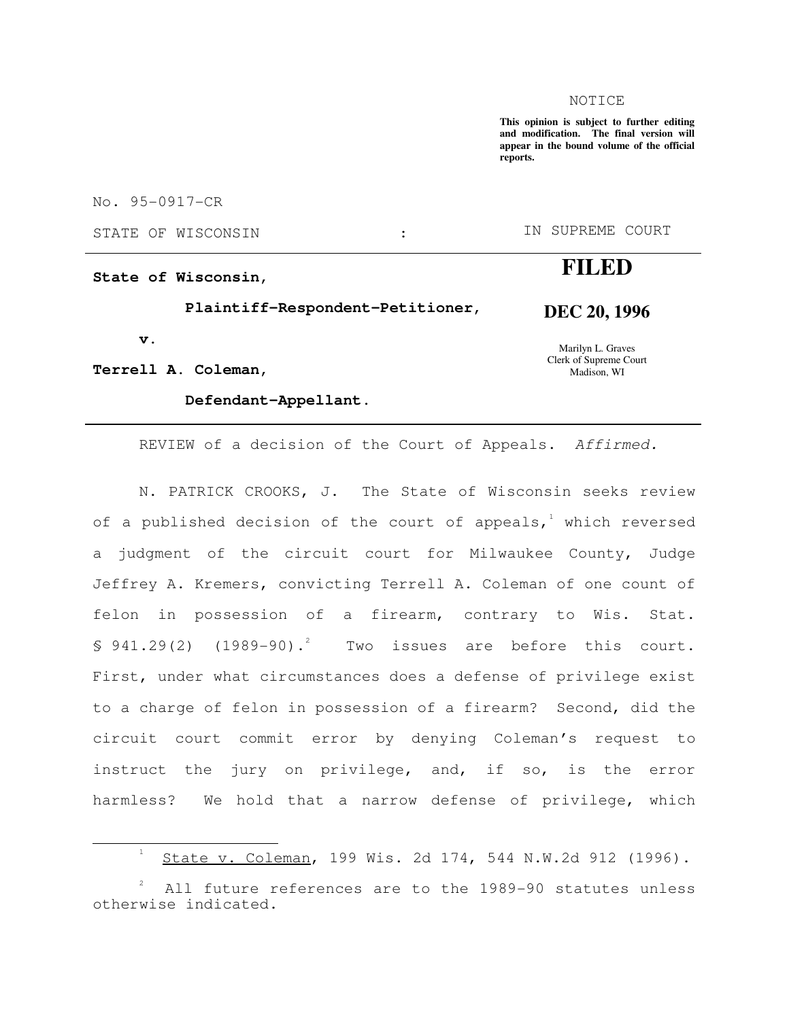#### NOTICE

**This opinion is subject to further editing and modification. The final version will appear in the bound volume of the official reports.**

No. 95-0917-CR

**State of Wisconsin,** 

 **Plaintiff-Respondent-Petitioner,** 

 **v.** 

j

**Terrell A. Coleman,** 

### **Defendant-Appellant.**

STATE OF WISCONSIN : THE SUPREME COURT

# **FILED**

**DEC 20, 1996** 

Marilyn L. Graves Clerk of Supreme Court Madison, WI

REVIEW of a decision of the Court of Appeals. Affirmed.

N. PATRICK CROOKS, J. The State of Wisconsin seeks review of a published decision of the court of appeals, $^1$  which reversed a judgment of the circuit court for Milwaukee County, Judge Jeffrey A. Kremers, convicting Terrell A. Coleman of one count of felon in possession of a firearm, contrary to Wis. Stat.  $$941.29(2)$   $(1989-90).^{2}$  Two issues are before this court. First, under what circumstances does a defense of privilege exist to a charge of felon in possession of a firearm? Second, did the circuit court commit error by denying Coleman's request to instruct the jury on privilege, and, if so, is the error harmless? We hold that a narrow defense of privilege, which

<sup>1</sup> State v. Coleman, 199 Wis. 2d 174, 544 N.W.2d 912 (1996).

<sup>2</sup> All future references are to the 1989-90 statutes unless otherwise indicated.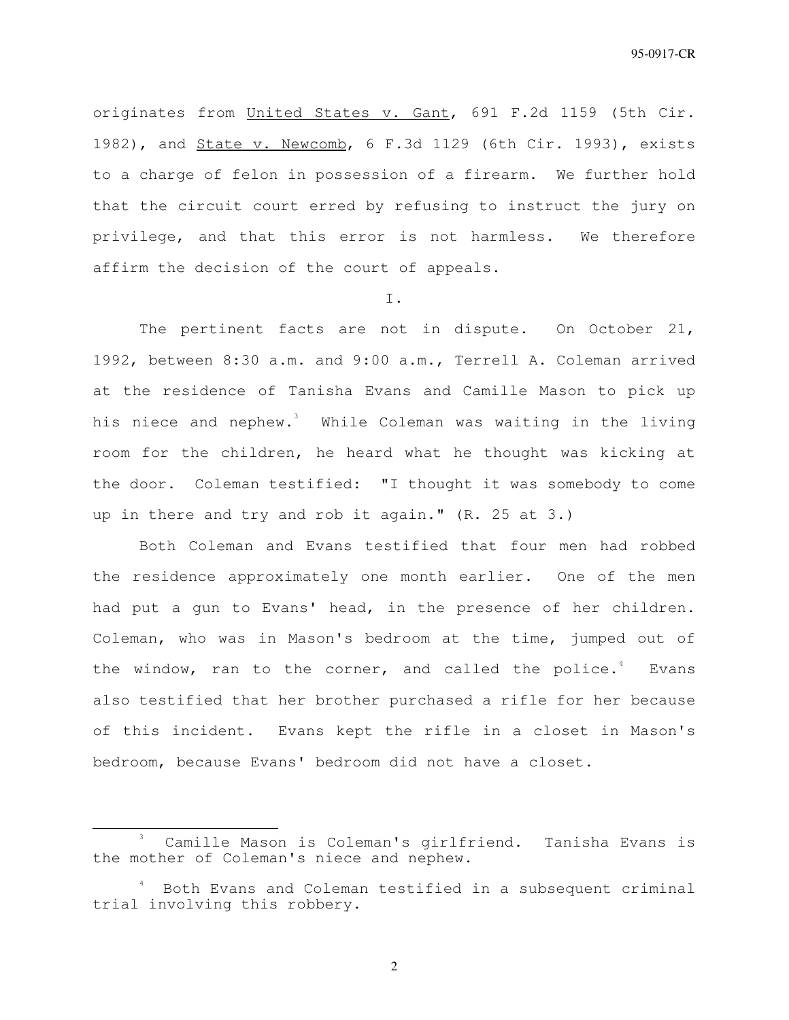originates from United States v. Gant, 691 F.2d 1159 (5th Cir. 1982), and State v. Newcomb, 6 F.3d 1129 (6th Cir. 1993), exists to a charge of felon in possession of a firearm. We further hold that the circuit court erred by refusing to instruct the jury on privilege, and that this error is not harmless. We therefore affirm the decision of the court of appeals.

I.

The pertinent facts are not in dispute. On October 21, 1992, between 8:30 a.m. and 9:00 a.m., Terrell A. Coleman arrived at the residence of Tanisha Evans and Camille Mason to pick up his niece and nephew.<sup>3</sup> While Coleman was waiting in the living room for the children, he heard what he thought was kicking at the door. Coleman testified: "I thought it was somebody to come up in there and try and rob it again." (R. 25 at 3.)

Both Coleman and Evans testified that four men had robbed the residence approximately one month earlier. One of the men had put a gun to Evans' head, in the presence of her children. Coleman, who was in Mason's bedroom at the time, jumped out of the window, ran to the corner, and called the police. $4$  Evans also testified that her brother purchased a rifle for her because of this incident. Evans kept the rifle in a closet in Mason's bedroom, because Evans' bedroom did not have a closet.

 $\overline{a}$ 

<sup>3</sup> Camille Mason is Coleman's girlfriend. Tanisha Evans is the mother of Coleman's niece and nephew.

<sup>4</sup> Both Evans and Coleman testified in a subsequent criminal trial involving this robbery.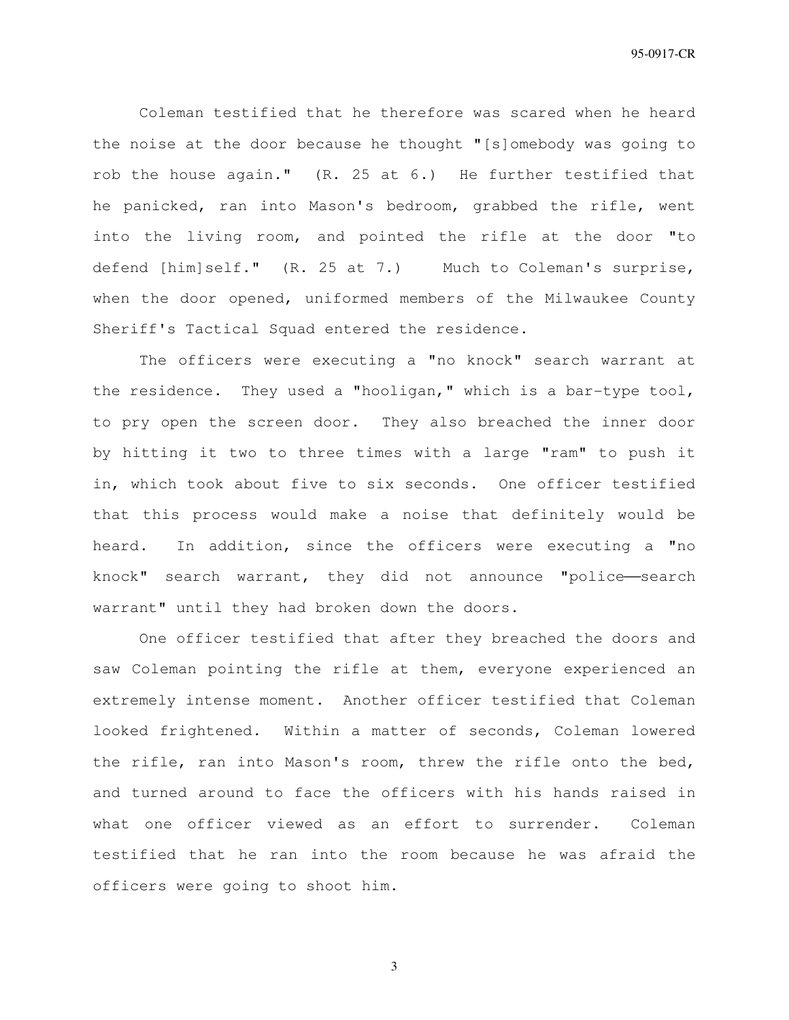Coleman testified that he therefore was scared when he heard the noise at the door because he thought "[s]omebody was going to rob the house again." (R. 25 at 6.) He further testified that he panicked, ran into Mason's bedroom, grabbed the rifle, went into the living room, and pointed the rifle at the door "to defend [him]self." (R. 25 at 7.) Much to Coleman's surprise, when the door opened, uniformed members of the Milwaukee County Sheriff's Tactical Squad entered the residence.

The officers were executing a "no knock" search warrant at the residence. They used a "hooligan," which is a bar-type tool, to pry open the screen door. They also breached the inner door by hitting it two to three times with a large "ram" to push it in, which took about five to six seconds. One officer testified that this process would make a noise that definitely would be heard. In addition, since the officers were executing a "no knock" search warrant, they did not announce "police-search warrant" until they had broken down the doors.

One officer testified that after they breached the doors and saw Coleman pointing the rifle at them, everyone experienced an extremely intense moment. Another officer testified that Coleman looked frightened. Within a matter of seconds, Coleman lowered the rifle, ran into Mason's room, threw the rifle onto the bed, and turned around to face the officers with his hands raised in what one officer viewed as an effort to surrender. Coleman testified that he ran into the room because he was afraid the officers were going to shoot him.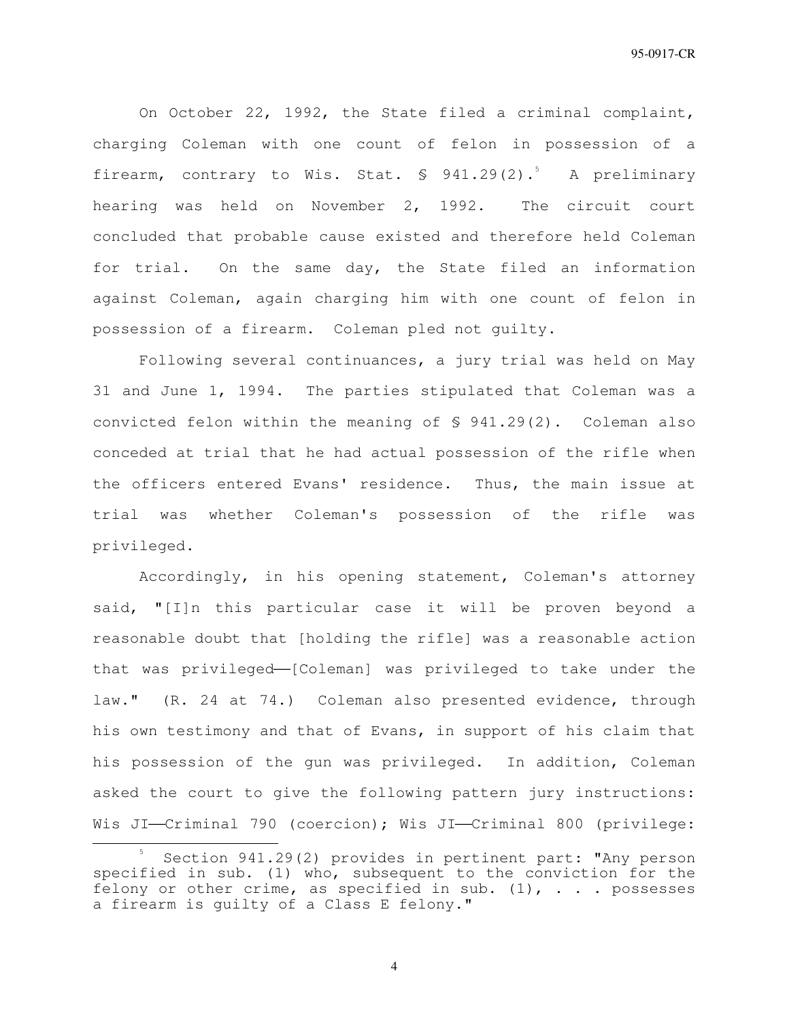On October 22, 1992, the State filed a criminal complaint, charging Coleman with one count of felon in possession of a firearm, contrary to Wis. Stat. \$ 941.29(2).<sup>5</sup> A preliminary hearing was held on November 2, 1992. The circuit court concluded that probable cause existed and therefore held Coleman for trial. On the same day, the State filed an information against Coleman, again charging him with one count of felon in possession of a firearm. Coleman pled not guilty.

Following several continuances, a jury trial was held on May 31 and June 1, 1994. The parties stipulated that Coleman was a convicted felon within the meaning of § 941.29(2). Coleman also conceded at trial that he had actual possession of the rifle when the officers entered Evans' residence. Thus, the main issue at trial was whether Coleman's possession of the rifle was privileged.

Accordingly, in his opening statement, Coleman's attorney said, "[I]n this particular case it will be proven beyond a reasonable doubt that [holding the rifle] was a reasonable action that was privileged-[Coleman] was privileged to take under the law." (R. 24 at 74.) Coleman also presented evidence, through his own testimony and that of Evans, in support of his claim that his possession of the gun was privileged. In addition, Coleman asked the court to give the following pattern jury instructions: Wis JI-Criminal 790 (coercion); Wis JI-Criminal 800 (privilege:

 $\overline{a}$ 

<sup>5</sup> Section 941.29(2) provides in pertinent part: "Any person specified in sub. (1) who, subsequent to the conviction for the felony or other crime, as specified in sub.  $(1)$ , . . . possesses a firearm is guilty of a Class E felony."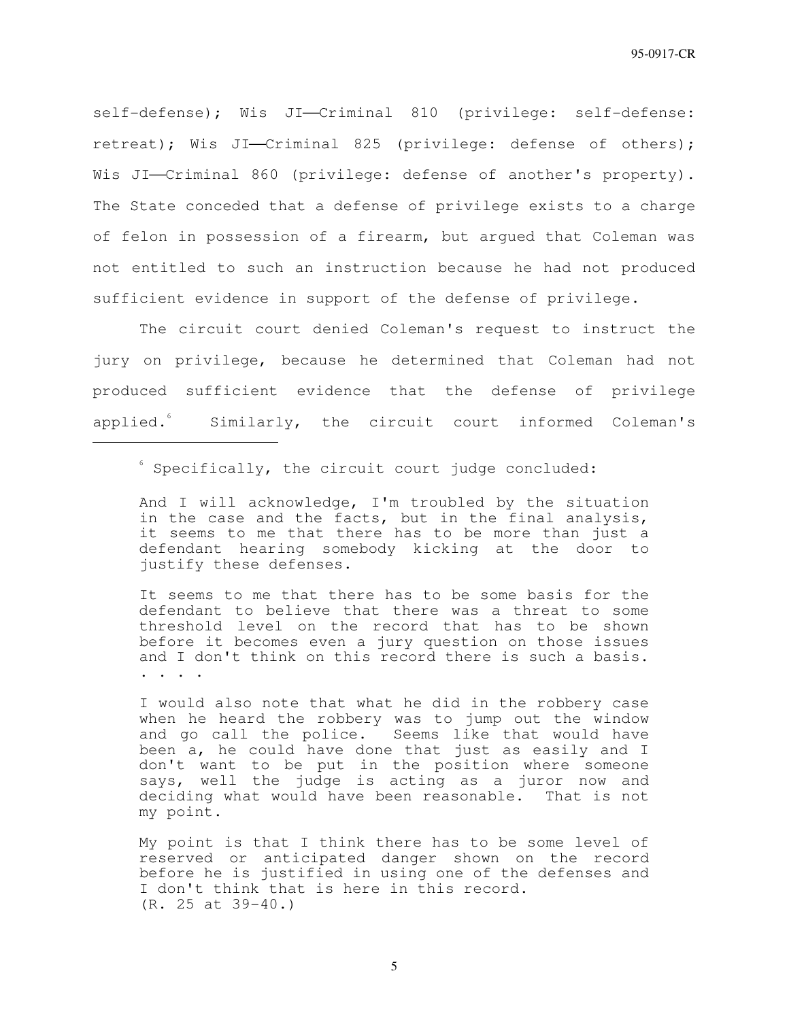self-defense); Wis JI-Criminal 810 (privilege: self-defense: retreat); Wis JI-Criminal 825 (privilege: defense of others); Wis JI-Criminal 860 (privilege: defense of another's property). The State conceded that a defense of privilege exists to a charge of felon in possession of a firearm, but argued that Coleman was not entitled to such an instruction because he had not produced sufficient evidence in support of the defense of privilege.

The circuit court denied Coleman's request to instruct the jury on privilege, because he determined that Coleman had not produced sufficient evidence that the defense of privilege applied. Similarly, the circuit court informed Coleman's

 ${}^{\circ}$  Specifically, the circuit court judge concluded:

j

And I will acknowledge, I'm troubled by the situation in the case and the facts, but in the final analysis, it seems to me that there has to be more than just a defendant hearing somebody kicking at the door to justify these defenses.

It seems to me that there has to be some basis for the defendant to believe that there was a threat to some threshold level on the record that has to be shown before it becomes even a jury question on those issues and I don't think on this record there is such a basis. . . . .

I would also note that what he did in the robbery case when he heard the robbery was to jump out the window and go call the police. Seems like that would have been a, he could have done that just as easily and I don't want to be put in the position where someone says, well the judge is acting as a juror now and deciding what would have been reasonable. That is not my point.

My point is that I think there has to be some level of reserved or anticipated danger shown on the record before he is justified in using one of the defenses and I don't think that is here in this record. (R. 25 at 39-40.)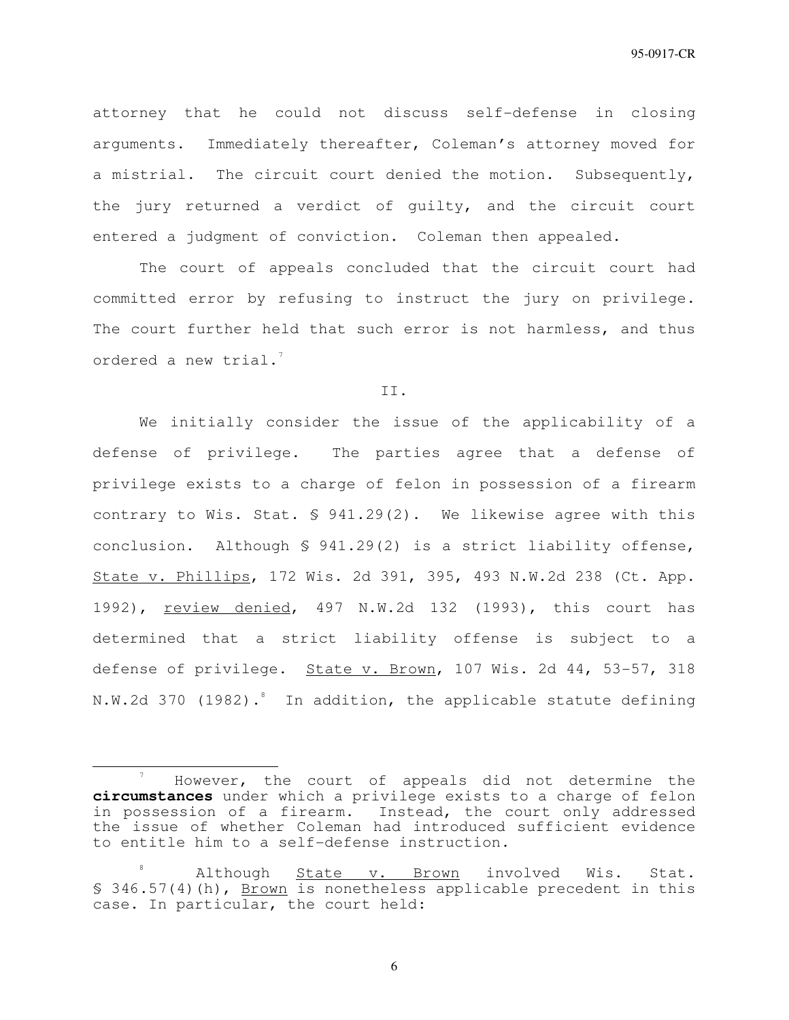attorney that he could not discuss self-defense in closing arguments. Immediately thereafter, Coleman's attorney moved for a mistrial. The circuit court denied the motion. Subsequently, the jury returned a verdict of guilty, and the circuit court entered a judgment of conviction. Coleman then appealed.

The court of appeals concluded that the circuit court had committed error by refusing to instruct the jury on privilege. The court further held that such error is not harmless, and thus ordered a new trial. $^{7}$ 

II.

We initially consider the issue of the applicability of a defense of privilege. The parties agree that a defense of privilege exists to a charge of felon in possession of a firearm contrary to Wis. Stat. § 941.29(2). We likewise agree with this conclusion. Although § 941.29(2) is a strict liability offense, State v. Phillips, 172 Wis. 2d 391, 395, 493 N.W.2d 238 (Ct. App. 1992), review denied, 497 N.W.2d 132 (1993), this court has determined that a strict liability offense is subject to a defense of privilege. State v. Brown, 107 Wis. 2d 44, 53-57, 318 N.W.2d 370 (1982). $^8$  In addition, the applicable statute defining

j

<sup>7</sup> However, the court of appeals did not determine the **circumstances** under which a privilege exists to a charge of felon in possession of a firearm. Instead, the court only addressed the issue of whether Coleman had introduced sufficient evidence to entitle him to a self-defense instruction.

<sup>8</sup> Although State v. Brown involved Wis. Stat. § 346.57(4)(h), Brown is nonetheless applicable precedent in this case. In particular, the court held: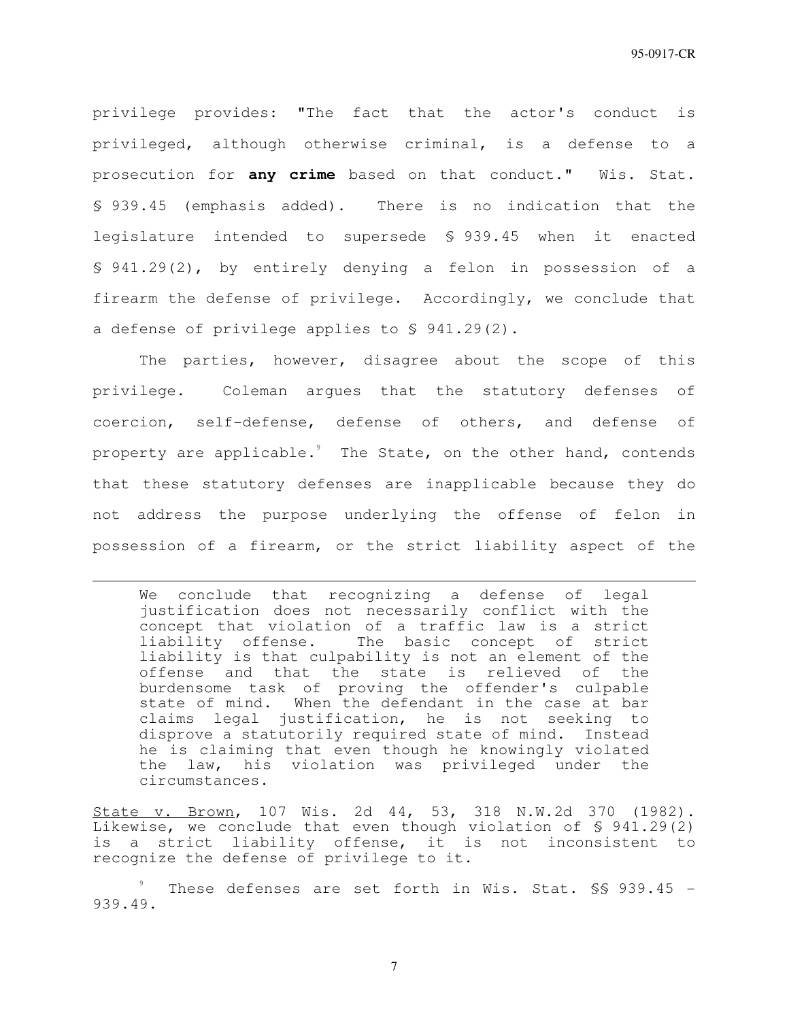privilege provides: "The fact that the actor's conduct is privileged, although otherwise criminal, is a defense to a prosecution for **any crime** based on that conduct." Wis. Stat. § 939.45 (emphasis added). There is no indication that the legislature intended to supersede § 939.45 when it enacted § 941.29(2), by entirely denying a felon in possession of a firearm the defense of privilege. Accordingly, we conclude that a defense of privilege applies to § 941.29(2).

The parties, however, disagree about the scope of this privilege. Coleman argues that the statutory defenses of coercion, self-defense, defense of others, and defense of property are applicable. $^{\circ}$  The State, on the other hand, contends that these statutory defenses are inapplicable because they do not address the purpose underlying the offense of felon in possession of a firearm, or the strict liability aspect of the

We conclude that recognizing a defense of legal justification does not necessarily conflict with the concept that violation of a traffic law is a strict liability offense. The basic concept of strict liability is that culpability is not an element of the offense and that the state is relieved of the burdensome task of proving the offender's culpable state of mind. When the defendant in the case at bar claims legal justification, he is not seeking to disprove a statutorily required state of mind. Instead he is claiming that even though he knowingly violated the law, his violation was privileged under the circumstances.

j

State v. Brown, 107 Wis. 2d 44, 53, 318 N.W.2d 370 (1982). Likewise, we conclude that even though violation of § 941.29(2) is a strict liability offense, it is not inconsistent to recognize the defense of privilege to it.

9 These defenses are set forth in Wis. Stat. \$\$ 939.45 -939.49.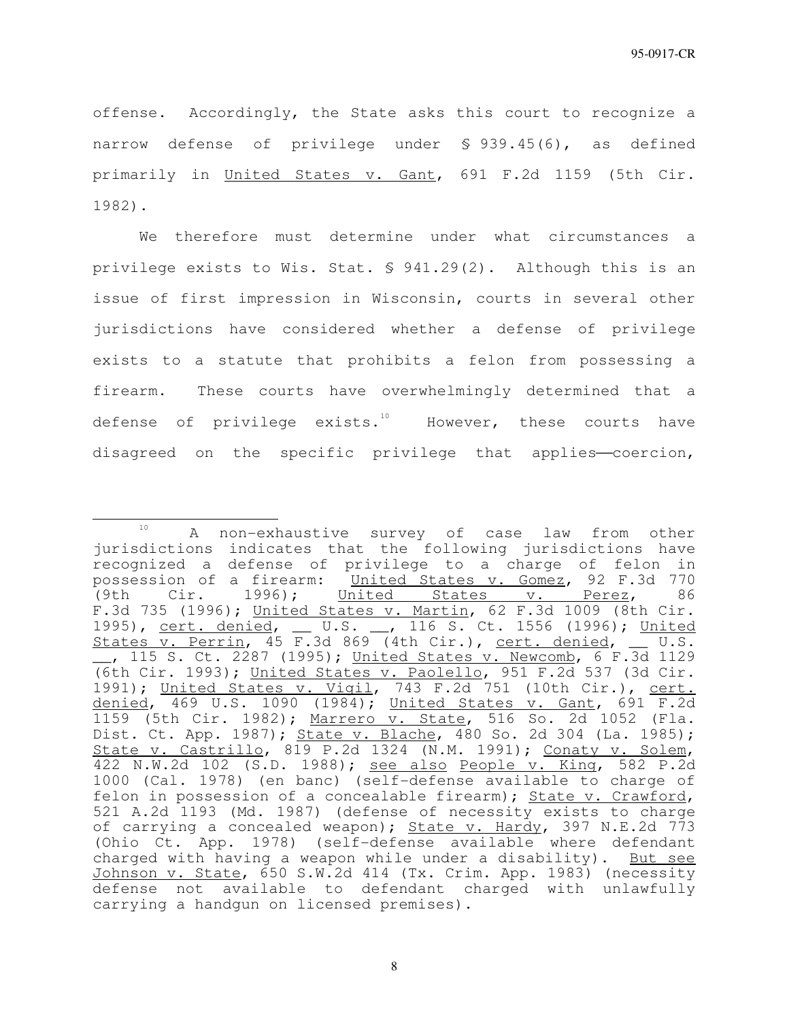offense. Accordingly, the State asks this court to recognize a narrow defense of privilege under § 939.45(6), as defined primarily in United States v. Gant, 691 F.2d 1159 (5th Cir. 1982).

We therefore must determine under what circumstances a privilege exists to Wis. Stat. § 941.29(2). Although this is an issue of first impression in Wisconsin, courts in several other jurisdictions have considered whether a defense of privilege exists to a statute that prohibits a felon from possessing a firearm. These courts have overwhelmingly determined that a defense of privilege exists.<sup>10</sup> However, these courts have disagreed on the specific privilege that applies-coercion,

j <sup>10</sup> A non-exhaustive survey of case law from other jurisdictions indicates that the following jurisdictions have recognized a defense of privilege to a charge of felon in possession of a firearm: United States v. Gomez, 92 F.3d 770 (9th Cir. 1996); United States v. Perez, 86 F.3d 735 (1996); United States v. Martin, 62 F.3d 1009 (8th Cir. 1995), cert. denied, \_\_ U.S. \_\_, 116 S. Ct. 1556 (1996); United States  $\overline{v}$ . Perrin, 45 F.3d 869 (4th Cir.), cert. denied,  $\overline{v}$  U.S. \_\_, 115 S. Ct. 2287 (1995); United States v. Newcomb, 6 F.3d 1129 (6th Cir. 1993); United States v. Paolello, 951 F.2d 537 (3d Cir. 1991); United States v. Vigil, 743 F.2d 751 (10th Cir.), cert. denied, 469 U.S. 1090 (1984); United States v. Gant, 691 F.2d 1159 (5th Cir. 1982); Marrero v. State, 516 So. 2d 1052 (Fla. Dist. Ct. App. 1987); State v. Blache, 480 So. 2d 304 (La. 1985); State v. Castrillo, 819 P.2d 1324 (N.M. 1991); Conaty v. Solem, 422 N.W.2d 102 (S.D. 1988); see also People v. King, 582 P.2d 1000 (Cal. 1978) (en banc) (self-defense available to charge of felon in possession of a concealable firearm); State v. Crawford, 521 A.2d 1193 (Md. 1987) (defense of necessity exists to charge of carrying a concealed weapon); State v. Hardy, 397 N.E.2d 773 (Ohio Ct. App. 1978) (self-defense available where defendant charged with having a weapon while under a disability). But see Johnson v. State, 650 S.W.2d 414 (Tx. Crim. App. 1983) (necessity defense not available to defendant charged with unlawfully carrying a handgun on licensed premises).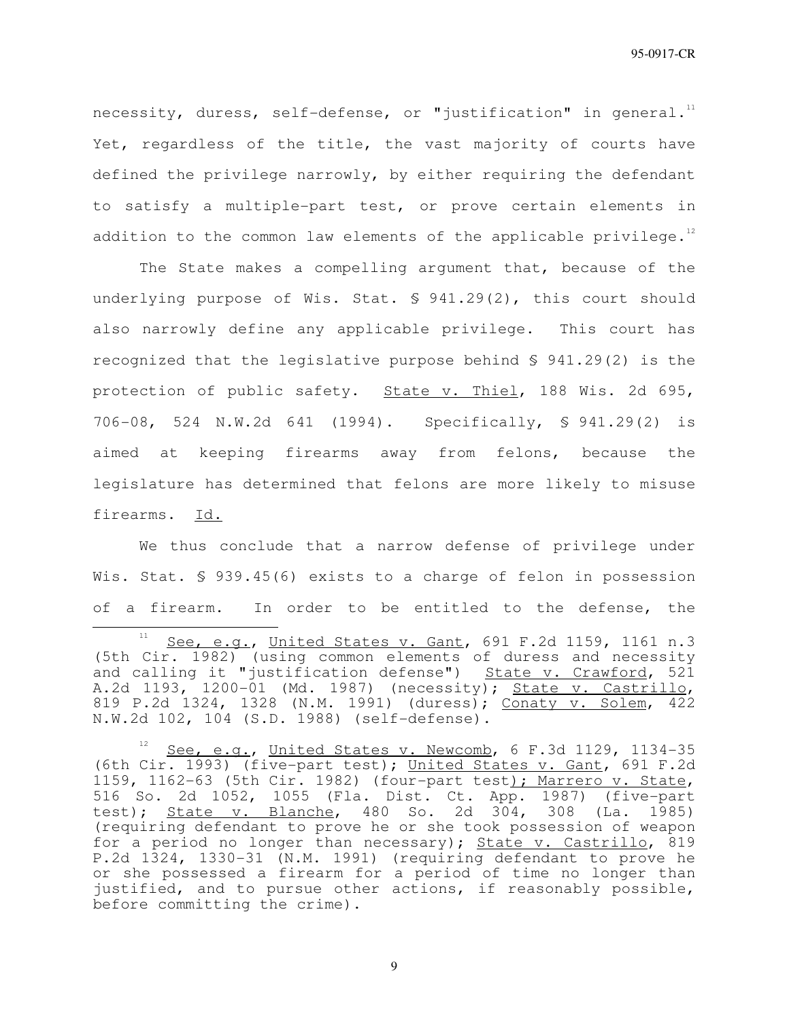necessity, duress, self-defense, or "justification" in general. $^{^{11}}\,$ Yet, regardless of the title, the vast majority of courts have defined the privilege narrowly, by either requiring the defendant to satisfy a multiple-part test, or prove certain elements in addition to the common law elements of the applicable privilege. $^{12}$ 

The State makes a compelling argument that, because of the underlying purpose of Wis. Stat. § 941.29(2), this court should also narrowly define any applicable privilege. This court has recognized that the legislative purpose behind § 941.29(2) is the protection of public safety. State v. Thiel, 188 Wis. 2d 695, 706-08, 524 N.W.2d 641 (1994). Specifically, § 941.29(2) is aimed at keeping firearms away from felons, because the legislature has determined that felons are more likely to misuse firearms. Id.

We thus conclude that a narrow defense of privilege under Wis. Stat. § 939.45(6) exists to a charge of felon in possession of a firearm. In order to be entitled to the defense, the

j

 $11$  See, e.g., United States v. Gant, 691 F.2d 1159, 1161 n.3 (5th Cir. 1982) (using common elements of duress and necessity and calling it "justification defense") State v. Crawford, 521 A.2d 1193, 1200-01 (Md. 1987) (necessity); State v. Castrillo, 819 P.2d 1324, 1328 (N.M. 1991) (duress); Conaty v. Solem, 422 N.W.2d 102, 104 (S.D. 1988) (self-defense).

See, e.g., United States v. Newcomb, 6 F.3d 1129, 1134-35 (6th Cir. 1993) (five-part test); United States v. Gant, 691 F.2d 1159, 1162-63 (5th Cir. 1982) (four-part test); Marrero v. State, 516 So. 2d 1052, 1055 (Fla. Dist. Ct. App. 1987) (five-part test); State v. Blanche, 480 So. 2d 304, 308 (La. 1985) (requiring defendant to prove he or she took possession of weapon for a period no longer than necessary); State v. Castrillo, 819 P.2d 1324, 1330-31 (N.M. 1991) (requiring defendant to prove he or she possessed a firearm for a period of time no longer than justified, and to pursue other actions, if reasonably possible, before committing the crime).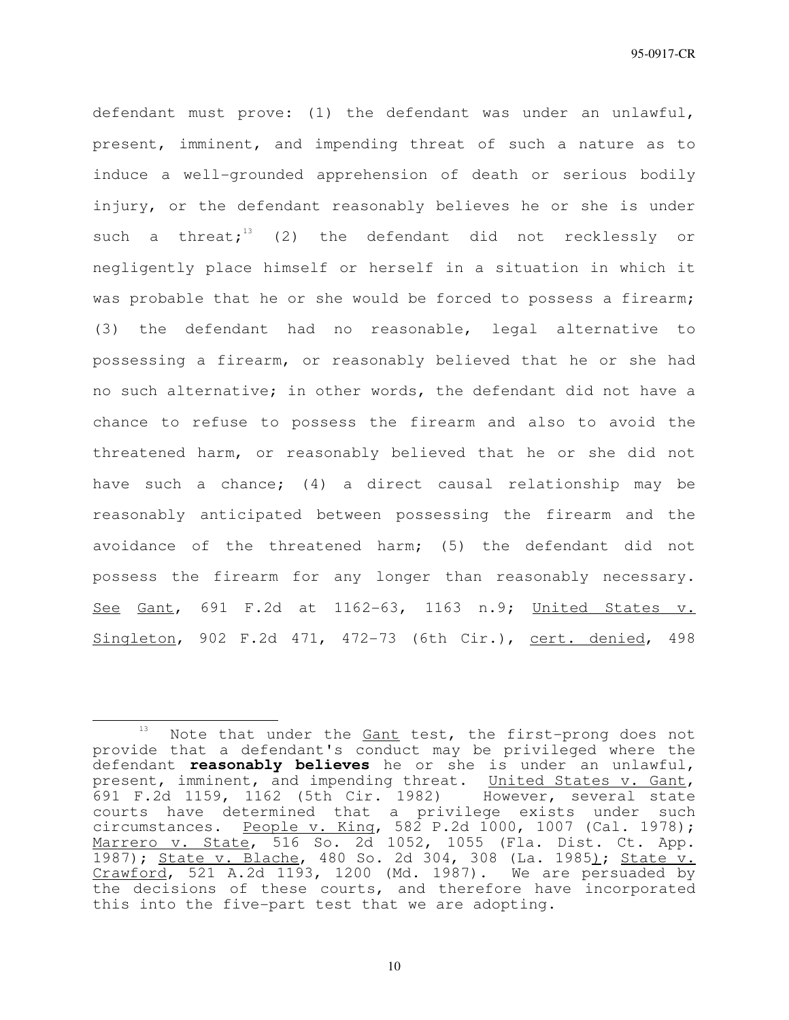defendant must prove: (1) the defendant was under an unlawful, present, imminent, and impending threat of such a nature as to induce a well-grounded apprehension of death or serious bodily injury, or the defendant reasonably believes he or she is under such a threat; $13$  (2) the defendant did not recklessly or negligently place himself or herself in a situation in which it was probable that he or she would be forced to possess a firearm; (3) the defendant had no reasonable, legal alternative to possessing a firearm, or reasonably believed that he or she had no such alternative; in other words, the defendant did not have a chance to refuse to possess the firearm and also to avoid the threatened harm, or reasonably believed that he or she did not have such a chance; (4) a direct causal relationship may be reasonably anticipated between possessing the firearm and the avoidance of the threatened harm; (5) the defendant did not possess the firearm for any longer than reasonably necessary. See Gant, 691 F.2d at 1162-63, 1163 n.9; United States v. Singleton, 902 F.2d 471, 472-73 (6th Cir.), cert. denied, 498

j

<sup>&</sup>lt;sup>13</sup> Note that under the **Gant** test, the first-prong does not provide that a defendant's conduct may be privileged where the defendant **reasonably believes** he or she is under an unlawful, present, imminent, and impending threat. United States v. Gant, 691 F.2d 1159, 1162 (5th Cir. 1982) However, several state courts have determined that a privilege exists under such circumstances. People v. King, 582 P.2d 1000, 1007 (Cal. 1978); Marrero v. State, 516 So. 2d 1052, 1055 (Fla. Dist. Ct. App. 1987); State v. Blache, 480 So. 2d 304, 308 (La. 1985); State v. Crawford, 521 A.2d 1193, 1200 (Md. 1987). We are persuaded by the decisions of these courts, and therefore have incorporated this into the five-part test that we are adopting.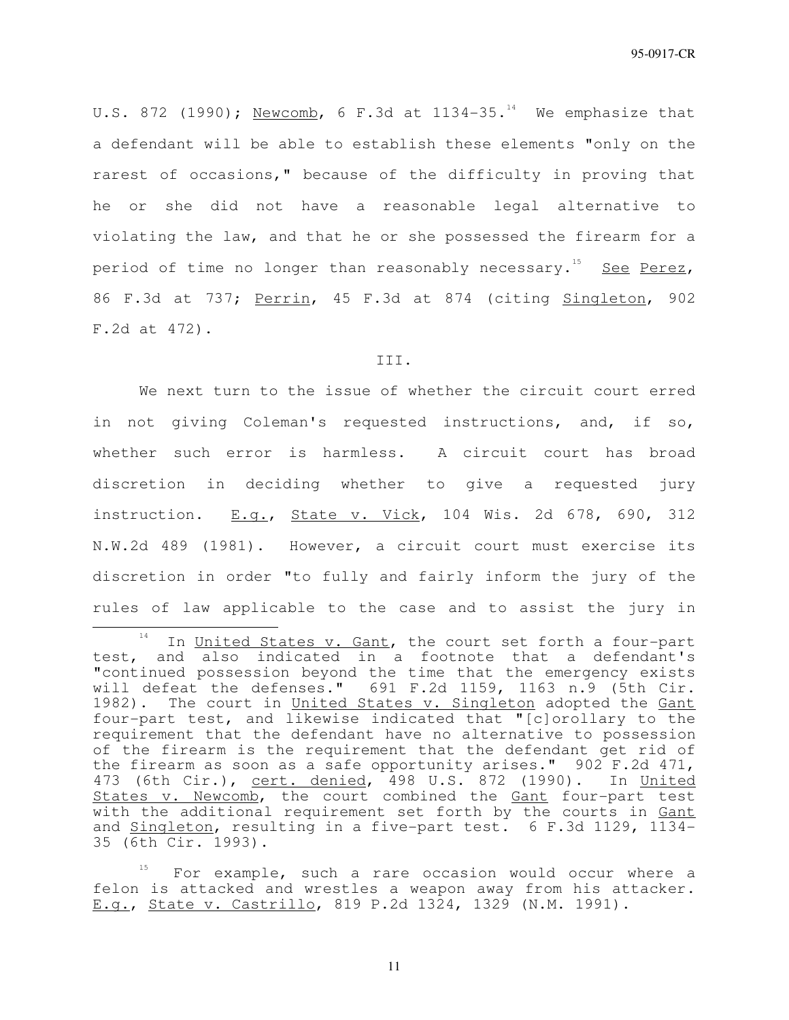U.S. 872 (1990); Newcomb, 6 F.3d at  $1134-35.^{14}$  We emphasize that a defendant will be able to establish these elements "only on the rarest of occasions," because of the difficulty in proving that he or she did not have a reasonable legal alternative to violating the law, and that he or she possessed the firearm for a period of time no longer than reasonably necessary.<sup>15</sup> See Perez, 86 F.3d at 737; Perrin, 45 F.3d at 874 (citing Singleton, 902 F.2d at 472).

## III.

We next turn to the issue of whether the circuit court erred in not giving Coleman's requested instructions, and, if so, whether such error is harmless. A circuit court has broad discretion in deciding whether to give a requested jury instruction.  $E.q.$ , State v. Vick, 104 Wis. 2d 678, 690, 312 N.W.2d 489 (1981). However, a circuit court must exercise its discretion in order "to fully and fairly inform the jury of the rules of law applicable to the case and to assist the jury in

j

<sup>&</sup>lt;sup>14</sup> In United States v. Gant, the court set forth a four-part test, and also indicated in a footnote that a defendant's "continued possession beyond the time that the emergency exists will defeat the defenses." 691 F.2d 1159, 1163 n.9 (5th Cir. 1982). The court in United States v. Singleton adopted the Gant four-part test, and likewise indicated that "[c]orollary to the requirement that the defendant have no alternative to possession of the firearm is the requirement that the defendant get rid of the firearm as soon as a safe opportunity arises." 902 F.2d 471, 473 (6th Cir.), cert. denied, 498 U.S. 872 (1990). In United States v. Newcomb, the court combined the Gant four-part test with the additional requirement set forth by the courts in Gant and Singleton, resulting in a five-part test. 6 F.3d 1129, 1134- 35 (6th Cir. 1993).

For example, such a rare occasion would occur where a felon is attacked and wrestles a weapon away from his attacker. E.g., State v. Castrillo, 819 P.2d 1324, 1329 (N.M. 1991).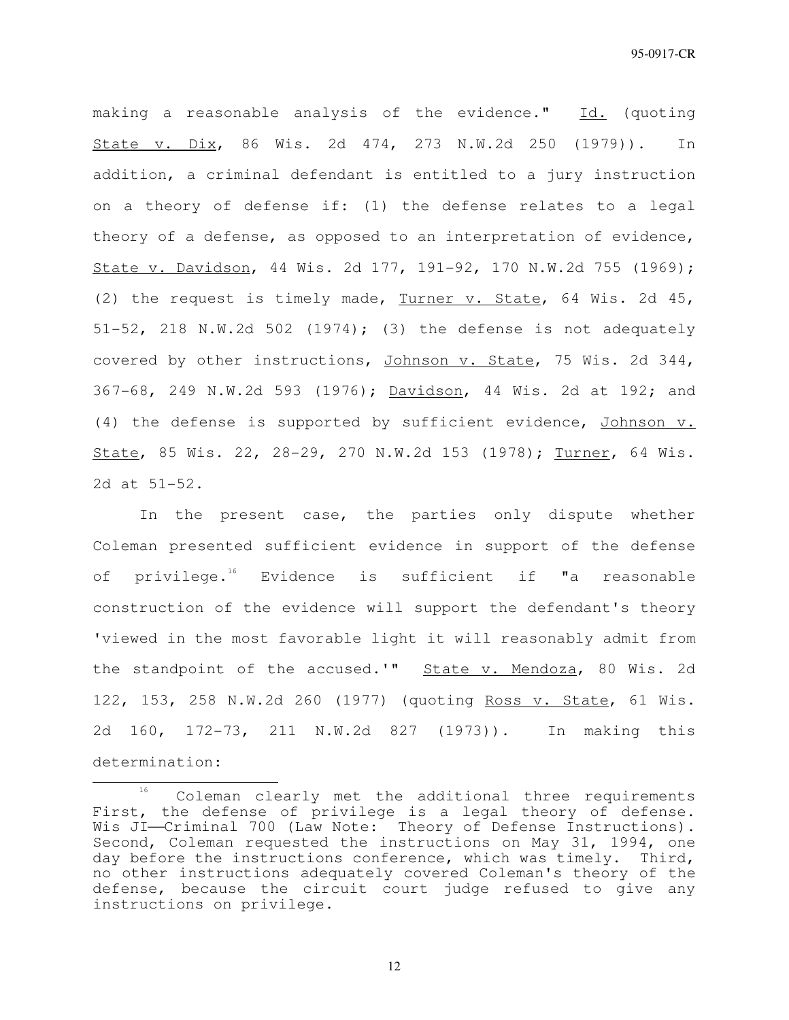making a reasonable analysis of the evidence." Id. (quoting State v. Dix, 86 Wis. 2d 474, 273 N.W.2d 250 (1979)). In addition, a criminal defendant is entitled to a jury instruction on a theory of defense if: (1) the defense relates to a legal theory of a defense, as opposed to an interpretation of evidence, State v. Davidson, 44 Wis. 2d 177, 191-92, 170 N.W.2d 755 (1969); (2) the request is timely made, Turner v. State, 64 Wis. 2d 45, 51-52, 218 N.W.2d 502 (1974); (3) the defense is not adequately covered by other instructions, Johnson v. State, 75 Wis. 2d 344, 367-68, 249 N.W.2d 593 (1976); Davidson, 44 Wis. 2d at 192; and (4) the defense is supported by sufficient evidence, Johnson v. State, 85 Wis. 22, 28-29, 270 N.W.2d 153 (1978); Turner, 64 Wis. 2d at 51-52.

In the present case, the parties only dispute whether Coleman presented sufficient evidence in support of the defense of privilege.<sup>16</sup> Evidence is sufficient if "a reasonable construction of the evidence will support the defendant's theory 'viewed in the most favorable light it will reasonably admit from the standpoint of the accused.'" State v. Mendoza, 80 Wis. 2d 122, 153, 258 N.W.2d 260 (1977) (quoting Ross v. State, 61 Wis. 2d 160, 172-73, 211 N.W.2d 827 (1973)). In making this determination:

j

<sup>&</sup>lt;sup>16</sup> Coleman clearly met the additional three requirements First, the defense of privilege is a legal theory of defense. Wis JI-Criminal 700 (Law Note: Theory of Defense Instructions). Second, Coleman requested the instructions on May 31, 1994, one day before the instructions conference, which was timely. Third, no other instructions adequately covered Coleman's theory of the defense, because the circuit court judge refused to give any instructions on privilege.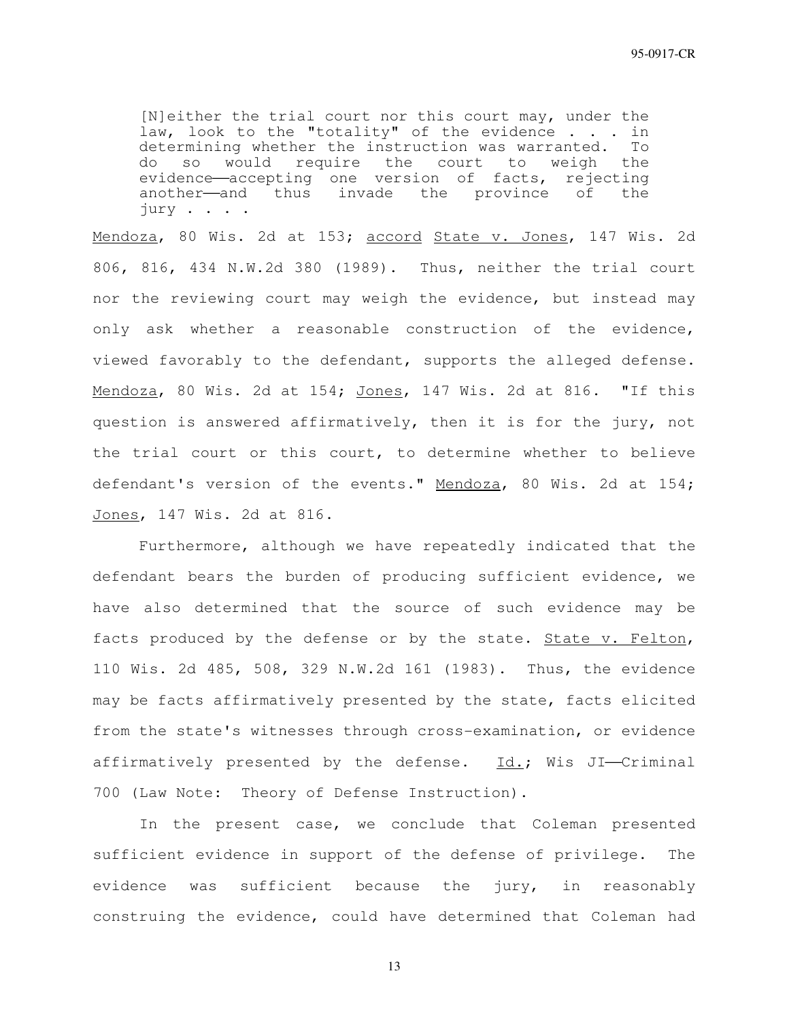[N]either the trial court nor this court may, under the law, look to the "totality" of the evidence . . . in determining whether the instruction was warranted. To<br>do so would require the court to weigh the do so would require the court to evidence—accepting one version of facts, rejecting another—and thus invade the province of the jury . . . .

Mendoza, 80 Wis. 2d at 153; accord State v. Jones, 147 Wis. 2d 806, 816, 434 N.W.2d 380 (1989). Thus, neither the trial court nor the reviewing court may weigh the evidence, but instead may only ask whether a reasonable construction of the evidence, viewed favorably to the defendant, supports the alleged defense. Mendoza, 80 Wis. 2d at 154; Jones, 147 Wis. 2d at 816. "If this question is answered affirmatively, then it is for the jury, not the trial court or this court, to determine whether to believe defendant's version of the events." Mendoza, 80 Wis. 2d at 154; Jones, 147 Wis. 2d at 816.

Furthermore, although we have repeatedly indicated that the defendant bears the burden of producing sufficient evidence, we have also determined that the source of such evidence may be facts produced by the defense or by the state. State v. Felton, 110 Wis. 2d 485, 508, 329 N.W.2d 161 (1983). Thus, the evidence may be facts affirmatively presented by the state, facts elicited from the state's witnesses through cross-examination, or evidence affirmatively presented by the defense.  $Id.$ ; Wis JI-Criminal 700 (Law Note: Theory of Defense Instruction).

In the present case, we conclude that Coleman presented sufficient evidence in support of the defense of privilege. The evidence was sufficient because the jury, in reasonably construing the evidence, could have determined that Coleman had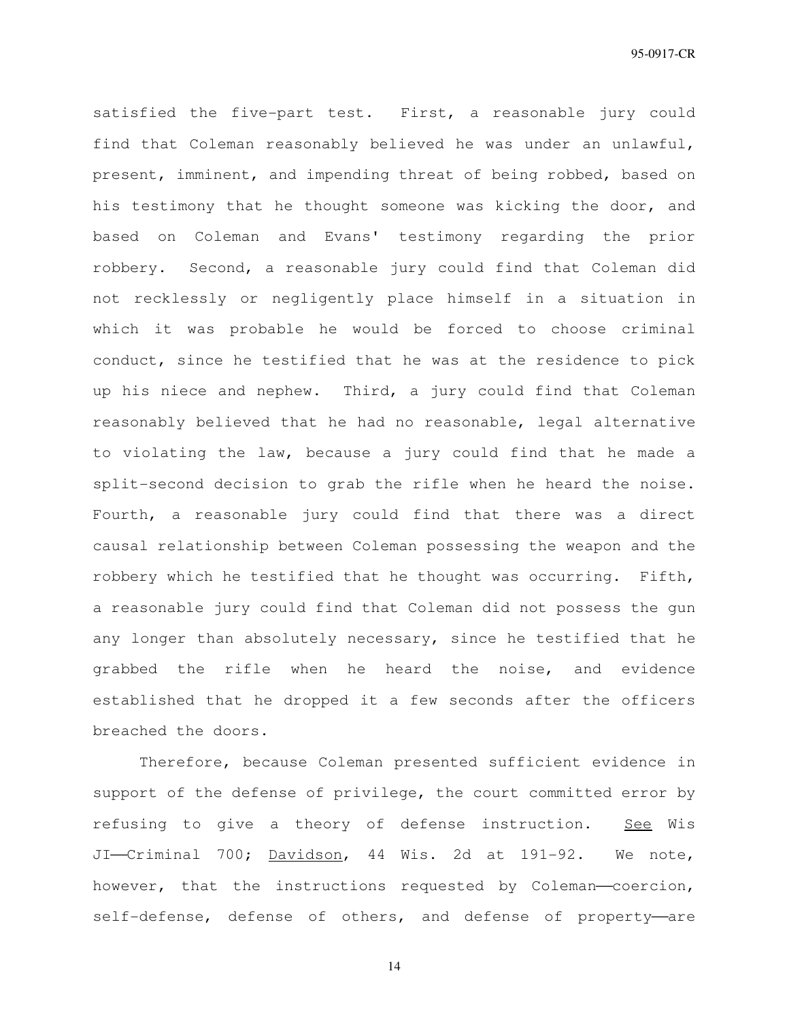satisfied the five-part test. First, a reasonable jury could find that Coleman reasonably believed he was under an unlawful, present, imminent, and impending threat of being robbed, based on his testimony that he thought someone was kicking the door, and based on Coleman and Evans' testimony regarding the prior robbery. Second, a reasonable jury could find that Coleman did not recklessly or negligently place himself in a situation in which it was probable he would be forced to choose criminal conduct, since he testified that he was at the residence to pick up his niece and nephew. Third, a jury could find that Coleman reasonably believed that he had no reasonable, legal alternative to violating the law, because a jury could find that he made a split-second decision to grab the rifle when he heard the noise. Fourth, a reasonable jury could find that there was a direct causal relationship between Coleman possessing the weapon and the robbery which he testified that he thought was occurring. Fifth, a reasonable jury could find that Coleman did not possess the gun any longer than absolutely necessary, since he testified that he grabbed the rifle when he heard the noise, and evidence established that he dropped it a few seconds after the officers breached the doors.

Therefore, because Coleman presented sufficient evidence in support of the defense of privilege, the court committed error by refusing to give a theory of defense instruction. See Wis JI-Criminal 700; Davidson, 44 Wis. 2d at 191-92. We note, however, that the instructions requested by Coleman-coercion, self-defense, defense of others, and defense of property-are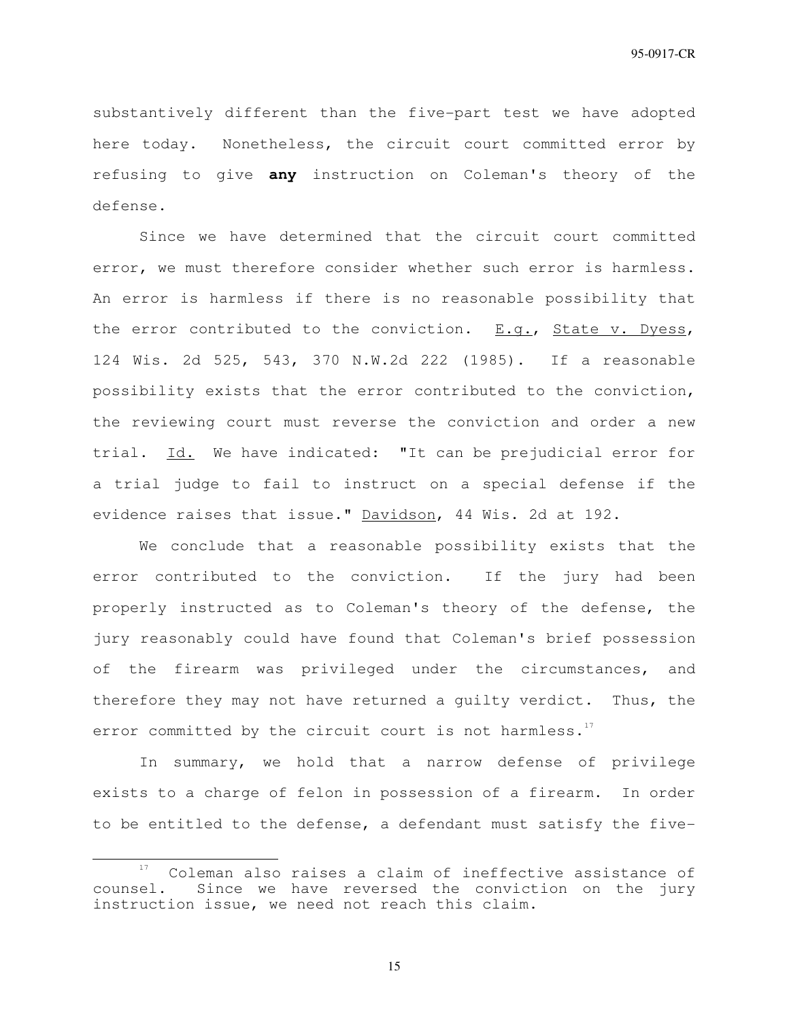substantively different than the five-part test we have adopted here today. Nonetheless, the circuit court committed error by refusing to give **any** instruction on Coleman's theory of the defense.

Since we have determined that the circuit court committed error, we must therefore consider whether such error is harmless. An error is harmless if there is no reasonable possibility that the error contributed to the conviction. E.g., State v. Dyess, 124 Wis. 2d 525, 543, 370 N.W.2d 222 (1985). If a reasonable possibility exists that the error contributed to the conviction, the reviewing court must reverse the conviction and order a new trial. Id. We have indicated: "It can be prejudicial error for a trial judge to fail to instruct on a special defense if the evidence raises that issue." Davidson, 44 Wis. 2d at 192.

We conclude that a reasonable possibility exists that the error contributed to the conviction. If the jury had been properly instructed as to Coleman's theory of the defense, the jury reasonably could have found that Coleman's brief possession of the firearm was privileged under the circumstances, and therefore they may not have returned a guilty verdict. Thus, the error committed by the circuit court is not harmless.<sup>17</sup>

In summary, we hold that a narrow defense of privilege exists to a charge of felon in possession of a firearm. In order to be entitled to the defense, a defendant must satisfy the five-

 $\overline{a}$ 

Coleman also raises a claim of ineffective assistance of counsel. Since we have reversed the conviction on the jury instruction issue, we need not reach this claim.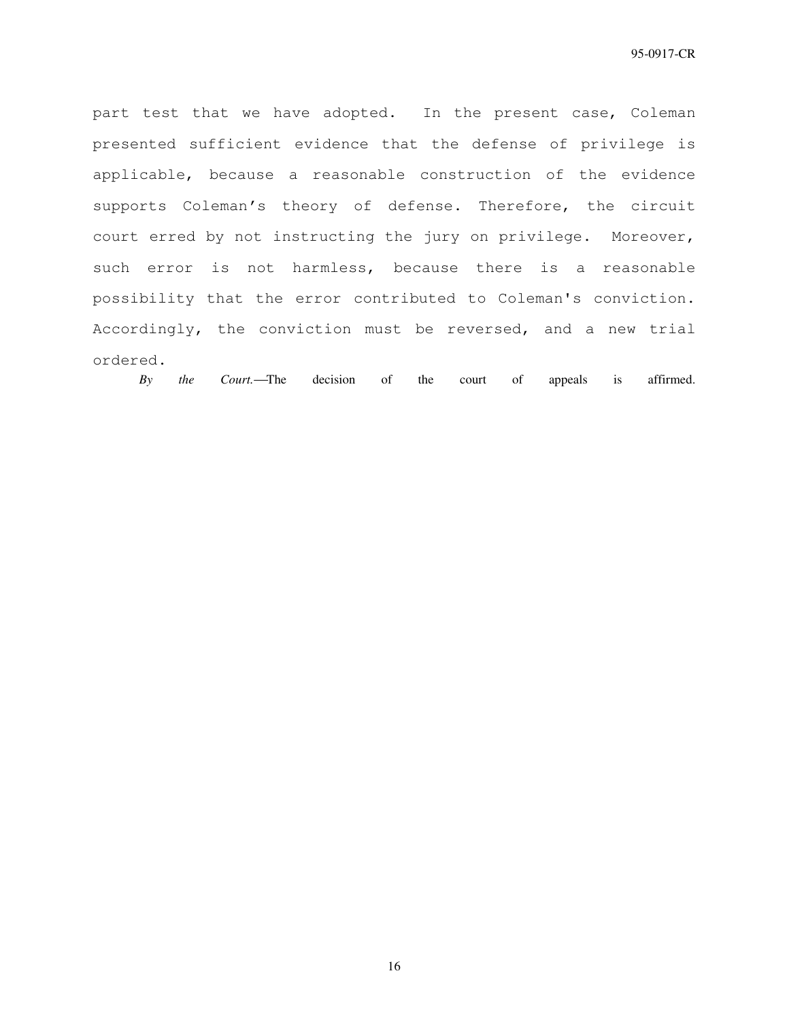part test that we have adopted. In the present case, Coleman presented sufficient evidence that the defense of privilege is applicable, because a reasonable construction of the evidence supports Coleman's theory of defense. Therefore, the circuit court erred by not instructing the jury on privilege. Moreover, such error is not harmless, because there is a reasonable possibility that the error contributed to Coleman's conviction. Accordingly, the conviction must be reversed, and a new trial ordered.

*By the Court.*The decision of the court of appeals is affirmed.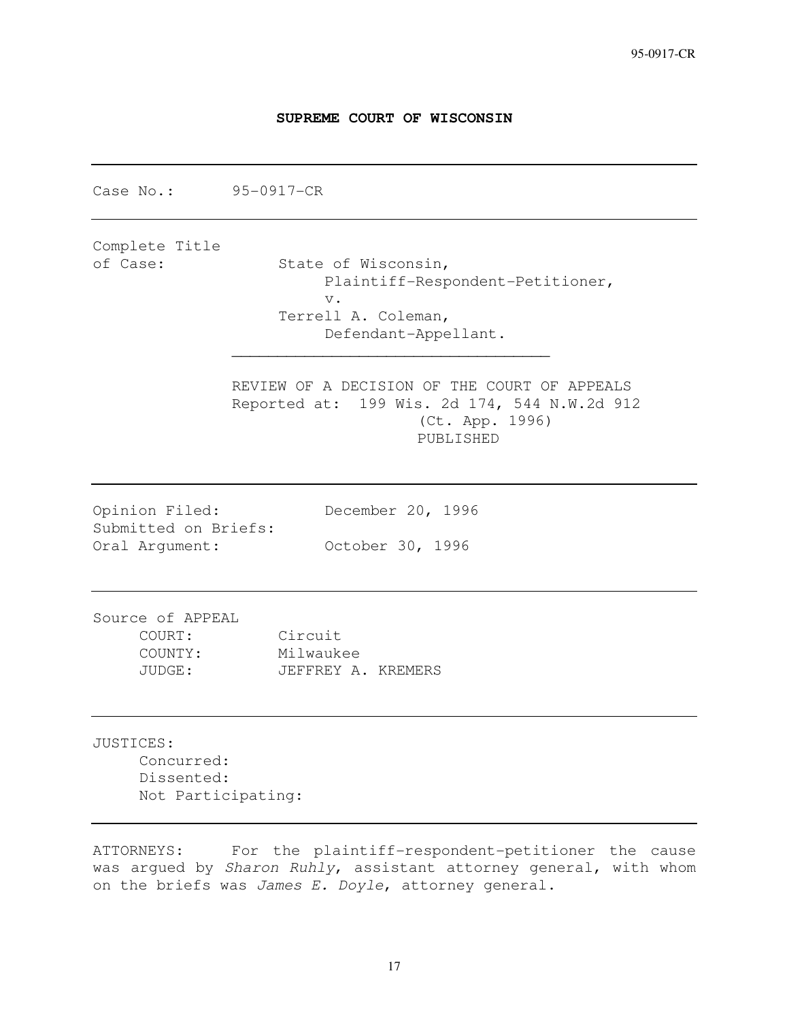## **SUPREME COURT OF WISCONSIN**

Case No.: 95-0917-CR Complete Title of Case: State of Wisconsin, Plaintiff-Respondent-Petitioner, v. Terrell A. Coleman, Defendant-Appellant.  $\frac{1}{2}$  ,  $\frac{1}{2}$  ,  $\frac{1}{2}$  ,  $\frac{1}{2}$  ,  $\frac{1}{2}$  ,  $\frac{1}{2}$  ,  $\frac{1}{2}$  ,  $\frac{1}{2}$  ,  $\frac{1}{2}$  ,  $\frac{1}{2}$  ,  $\frac{1}{2}$  ,  $\frac{1}{2}$  ,  $\frac{1}{2}$  ,  $\frac{1}{2}$  ,  $\frac{1}{2}$  ,  $\frac{1}{2}$  ,  $\frac{1}{2}$  ,  $\frac{1}{2}$  ,  $\frac{1$  REVIEW OF A DECISION OF THE COURT OF APPEALS Reported at: 199 Wis. 2d 174, 544 N.W.2d 912 (Ct. App. 1996) PUBLISHED Opinion Filed: December 20, 1996 Submitted on Briefs: Oral Argument: October 30, 1996 Source of APPEAL COURT: Circuit COUNTY: Milwaukee JUDGE: JEFFREY A. KREMERS JUSTICES: Concurred: Dissented: Not Participating:

ATTORNEYS: For the plaintiff-respondent-petitioner the cause was argued by Sharon Ruhly, assistant attorney general, with whom on the briefs was James E. Doyle, attorney general.